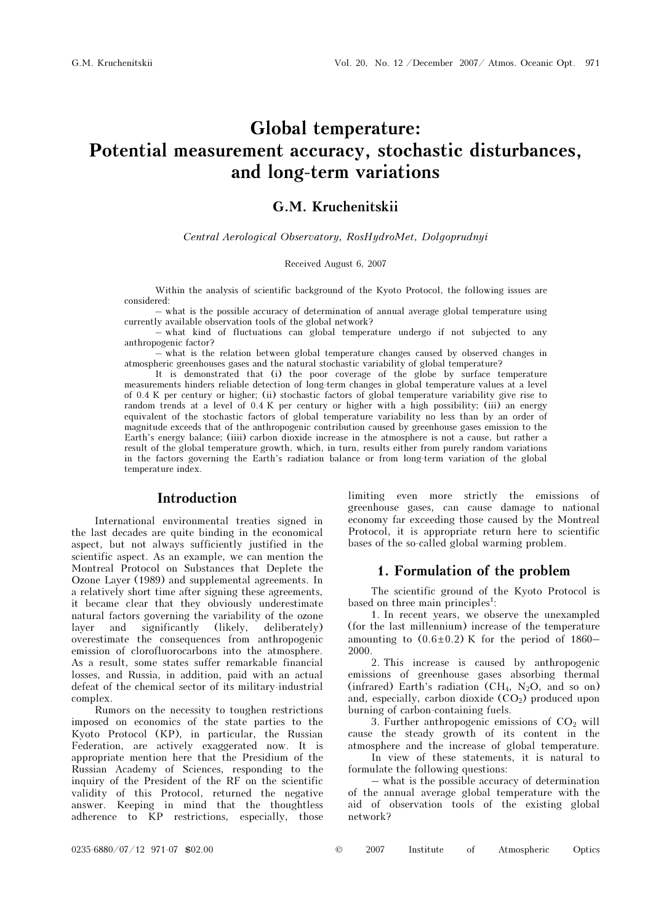# Global temperature: Potential measurement accuracy, stochastic disturbances, and long-term variations

### G.M. Kruchenitskii

Central Aerological Observatory, RosHydroMet, Dolgoprudnyi

#### Received August 6, 2007

Within the analysis of scientific background of the Kyoto Protocol, the following issues are considered:

– what is the possible accuracy of determination of annual average global temperature using currently available observation tools of the global network?

– what kind of fluctuations can global temperature undergo if not subjected to any anthropogenic factor?

– what is the relation between global temperature changes caused by observed changes in atmospheric greenhouses gases and the natural stochastic variability of global temperature?

It is demonstrated that (i) the poor coverage of the globe by surface temperature measurements hinders reliable detection of long-term changes in global temperature values at a level of 0.4 K per century or higher; (ii) stochastic factors of global temperature variability give rise to random trends at a level of 0.4 K per century or higher with a high possibility; (iii) an energy equivalent of the stochastic factors of global temperature variability no less than by an order of magnitude exceeds that of the anthropogenic contribution caused by greenhouse gases emission to the Earth's energy balance; (iiii) carbon dioxide increase in the atmosphere is not a cause, but rather a result of the global temperature growth, which, in turn, results either from purely random variations in the factors governing the Earth's radiation balance or from long-term variation of the global temperature index.

### Introduction

International environmental treaties signed in the last decades are quite binding in the economical aspect, but not always sufficiently justified in the scientific aspect. As an example, we can mention the Montreal Protocol on Substances that Deplete the Ozone Layer (1989) and supplemental agreements. In a relatively short time after signing these agreements, it became clear that they obviously underestimate natural factors governing the variability of the ozone layer and significantly (likely, deliberately) overestimate the consequences from anthropogenic emission of clorofluorocarbons into the atmosphere. As a result, some states suffer remarkable financial losses, and Russia, in addition, paid with an actual defeat of the chemical sector of its military-industrial complex.

Rumors on the necessity to toughen restrictions imposed on economics of the state parties to the Kyoto Protocol (KP), in particular, the Russian Federation, are actively exaggerated now. It is appropriate mention here that the Presidium of the Russian Academy of Sciences, responding to the inquiry of the President of the RF on the scientific validity of this Protocol, returned the negative answer. Keeping in mind that the thoughtless adherence to KP restrictions, especially, those limiting even more strictly the emissions of greenhouse gases, can cause damage to national economy far exceeding those caused by the Montreal Protocol, it is appropriate return here to scientific bases of the so-called global warming problem.

#### 1. Formulation of the problem

The scientific ground of the Kyoto Protocol is based on three main principles<sup>1</sup>:

1. In recent years, we observe the unexampled (for the last millennium) increase of the temperature amounting to  $(0.6 \pm 0.2)$  K for the period of 1860– 2000.

2. This increase is caused by anthropogenic emissions of greenhouse gases absorbing thermal (infrared) Earth's radiation ( $CH_4$ , N<sub>2</sub>O, and so on) and, especially, carbon dioxide  $(CO<sub>2</sub>)$  produced upon burning of carbon-containing fuels.

3. Further anthropogenic emissions of  $CO<sub>2</sub>$  will cause the steady growth of its content in the atmosphere and the increase of global temperature.

 In view of these statements, it is natural to formulate the following questions:

– what is the possible accuracy of determination of the annual average global temperature with the aid of observation tools of the existing global network?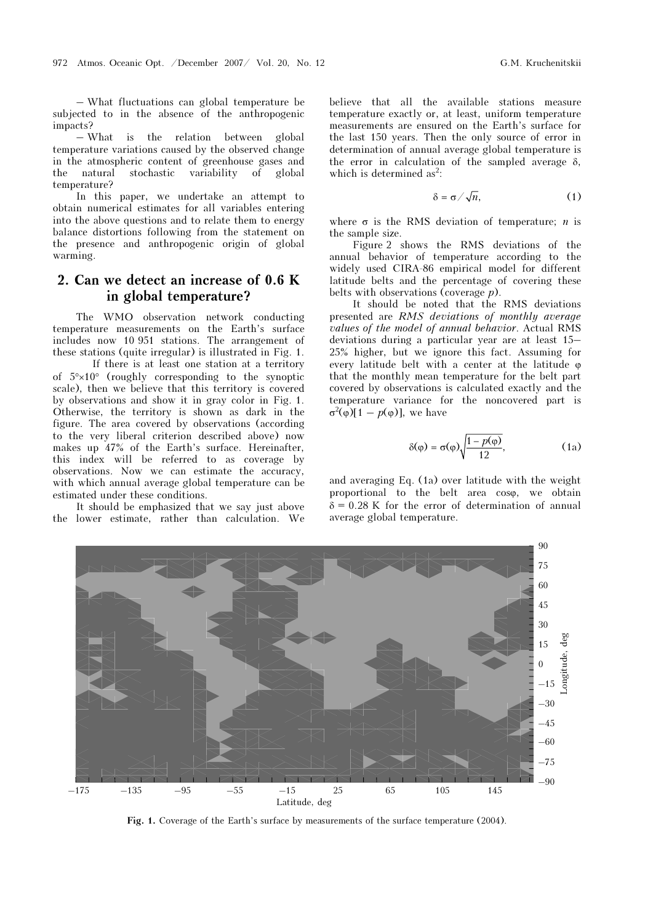– What fluctuations can global temperature be subjected to in the absence of the anthropogenic impacts?

– What is the relation between global temperature variations caused by the observed change in the atmospheric content of greenhouse gases and the natural stochastic variability of global temperature?

In this paper, we undertake an attempt to obtain numerical estimates for all variables entering into the above questions and to relate them to energy balance distortions following from the statement on the presence and anthropogenic origin of global warming.

# 2. Can we detect an increase of 0.6 K in global temperature?

The WMO observation network conducting temperature measurements on the Earth's surface includes now 10 951 stations. The arrangement of these stations (quite irregular) is illustrated in Fig. 1.

 If there is at least one station at a territory of 5°×10° (roughly corresponding to the synoptic scale), then we believe that this territory is covered by observations and show it in gray color in Fig. 1. Otherwise, the territory is shown as dark in the figure. The area covered by observations (according to the very liberal criterion described above) now makes up 47% of the Earth's surface. Hereinafter, this index will be referred to as coverage by observations. Now we can estimate the accuracy, with which annual average global temperature can be estimated under these conditions.

It should be emphasized that we say just above the lower estimate, rather than calculation. We believe that all the available stations measure temperature exactly or, at least, uniform temperature measurements are ensured on the Earth's surface for the last 150 years. Then the only source of error in determination of annual average global temperature is the error in calculation of the sampled average  $\delta$ , which is determined as<sup>2</sup>:

$$
\delta = \sigma / \sqrt{n}, \tag{1}
$$

where  $\sigma$  is the RMS deviation of temperature; *n* is the sample size.

Figure 2 shows the RMS deviations of the annual behavior of temperature according to the widely used CIRA-86 empirical model for different latitude belts and the percentage of covering these belts with observations (coverage  $p$ ).

It should be noted that the RMS deviations presented are RMS deviations of monthly average values of the model of annual behavior. Actual RMS deviations during a particular year are at least 15– 25% higher, but we ignore this fact. Assuming for every latitude belt with a center at the latitude ϕ that the monthly mean temperature for the belt part covered by observations is calculated exactly and the temperature variance for the noncovered part is  $\sigma^2(\varphi)[1 - p(\varphi)],$  we have

$$
\delta(\varphi) = \sigma(\varphi) \sqrt{\frac{1 - p(\varphi)}{12}},\tag{1a}
$$

and averaging Eq. (1a) over latitude with the weight proportional to the belt area coso, we obtain  $\delta = 0.28$  K for the error of determination of annual average global temperature.



Fig. 1. Coverage of the Earth's surface by measurements of the surface temperature (2004).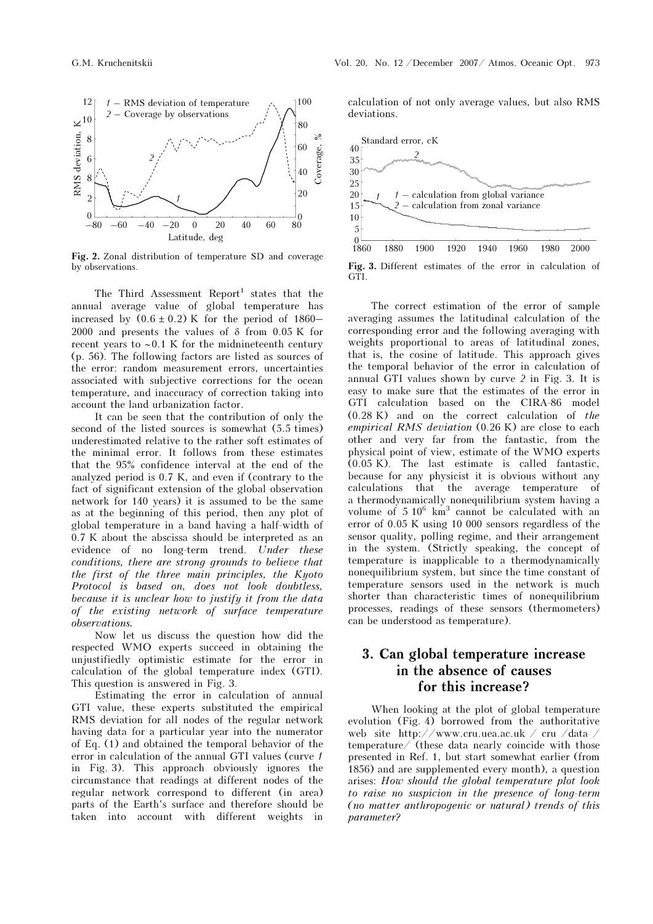

Fig. 2. Zonal distribution of temperature SD and coverage by observations.

The Third Assessment Report<sup>1</sup> states that the annual average value of global temperature has increased by  $(0.6 \pm 0.2)$  K for the period of 1860– 2000 and presents the values of  $\delta$  from 0.05 K for recent years to ∼ 0.1 K for the midnineteenth century (p. 56). The following factors are listed as sources of the error: random measurement errors, uncertainties associated with subjective corrections for the ocean temperature, and inaccuracy of correction taking into account the land urbanization factor.

It can be seen that the contribution of only the second of the listed sources is somewhat (5.5 times) underestimated relative to the rather soft estimates of the minimal error. It follows from these estimates that the 95% confidence interval at the end of the analyzed period is 0.7 K, and even if (contrary to the fact of significant extension of the global observation network for 140 years) it is assumed to be the same as at the beginning of this period, then any plot of global temperature in a band having a half-width of 0.7 K about the abscissa should be interpreted as an evidence of no long-term trend. Under these conditions, there are strong grounds to believe that the first of the three main principles, the Kyoto Protocol is based on, does not look doubtless, because it is unclear how to justify it from the data of the existing network of surface temperature observations.

Now let us discuss the question how did the respected WMO experts succeed in obtaining the unjustifiedly optimistic estimate for the error in calculation of the global temperature index (GTI). This question is answered in Fig. 3.

Estimating the error in calculation of annual GTI value, these experts substituted the empirical RMS deviation for all nodes of the regular network having data for a particular year into the numerator of Eq. (1) and obtained the temporal behavior of the error in calculation of the annual GTI values (curve 1 in Fig. 3). This approach obviously ignores the circumstance that readings at different nodes of the regular network correspond to different (in area) parts of the Earth's surface and therefore should be taken into account with different weights in

calculation of not only average values, but also RMS deviations.



Fig. 3. Different estimates of the error in calculation of GTI.

The correct estimation of the error of sample averaging assumes the latitudinal calculation of the corresponding error and the following averaging with weights proportional to areas of latitudinal zones, that is, the cosine of latitude. This approach gives the temporal behavior of the error in calculation of annual GTI values shown by curve 2 in Fig. 3. It is easy to make sure that the estimates of the error in GTI calculation based on the CIRA-86 model (0.28 K) and on the correct calculation of the empirical RMS deviation (0.26 K) are close to each other and very far from the fantastic, from the physical point of view, estimate of the WMO experts (0.05 K). The last estimate is called fantastic, because for any physicist it is obvious without any calculations that the average temperature of a thermodynamically nonequilibrium system having a volume of  $5 \times 10^6$  km<sup>3</sup> cannot be calculated with an error of 0.05 K using 10 000 sensors regardless of the sensor quality, polling regime, and their arrangement in the system. (Strictly speaking, the concept of temperature is inapplicable to a thermodynamically nonequilibrium system, but since the time constant of temperature sensors used in the network is much shorter than characteristic times of nonequilibrium processes, readings of these sensors (thermometers) can be understood as temperature).

## 3. Can global temperature increase in the absence of causes for this increase?

When looking at the plot of global temperature evolution (Fig. 4) borrowed from the authoritative web site http://www.cru.uea.ac.uk / cru /data / temperature/ (these data nearly coincide with those presented in Ref. 1, but start somewhat earlier (from 1856) and are supplemented every month), a question arises: How should the global temperature plot look to raise no suspicion in the presence of long-term (no matter anthropogenic or natural) trends of this parameter?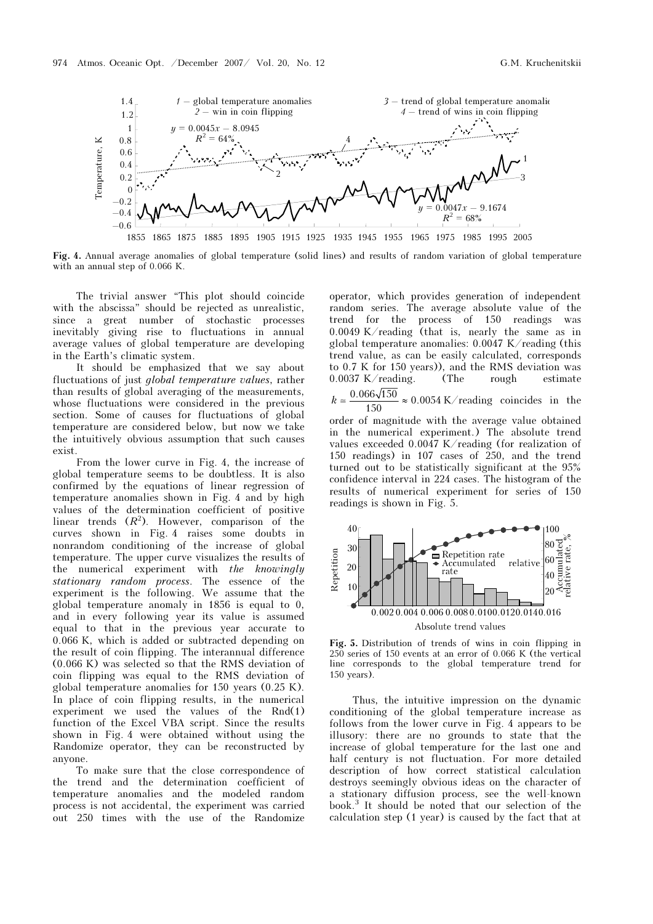

Fig. 4. Annual average anomalies of global temperature (solid lines) and results of random variation of global temperature with an annual step of 0.066 K.

The trivial answer "This plot should coincide with the abscissa" should be rejected as unrealistic, since a great number of stochastic processes inevitably giving rise to fluctuations in annual average values of global temperature are developing in the Earth's climatic system.

It should be emphasized that we say about fluctuations of just global temperature values, rather than results of global averaging of the measurements, whose fluctuations were considered in the previous section. Some of causes for fluctuations of global temperature are considered below, but now we take the intuitively obvious assumption that such causes exist.

From the lower curve in Fig. 4, the increase of global temperature seems to be doubtless. It is also confirmed by the equations of linear regression of temperature anomalies shown in Fig. 4 and by high values of the determination coefficient of positive linear trends  $(R^2)$ . However, comparison of the curves shown in Fig. 4 raises some doubts in nonrandom conditioning of the increase of global temperature. The upper curve visualizes the results of the numerical experiment with the knowingly stationary random process. The essence of the experiment is the following. We assume that the global temperature anomaly in 1856 is equal to 0, and in every following year its value is assumed equal to that in the previous year accurate to 0.066 K, which is added or subtracted depending on the result of coin flipping. The interannual difference (0.066 K) was selected so that the RMS deviation of coin flipping was equal to the RMS deviation of global temperature anomalies for 150 years (0.25 K). In place of coin flipping results, in the numerical experiment we used the values of the Rnd(1) function of the Excel VBA script. Since the results shown in Fig. 4 were obtained without using the Randomize operator, they can be reconstructed by anyone.

To make sure that the close correspondence of the trend and the determination coefficient of temperature anomalies and the modeled random process is not accidental, the experiment was carried out 250 times with the use of the Randomize

operator, which provides generation of independent random series. The average absolute value of the trend for the process of 150 readings was 0.0049 K/reading (that is, nearly the same as in global temperature anomalies: 0.0047 K/reading (this trend value, as can be easily calculated, corresponds to 0.7 K for 150 years)), and the RMS deviation was 0.0037 K/reading. (The rough estimate

 $k \approx \frac{0.066\sqrt{150}}{150} \approx 0.0054 \text{ K/reading coincides in the}$ 

order of magnitude with the average value obtained in the numerical experiment.) The absolute trend values exceeded 0.0047 K/reading (for realization of 150 readings) in 107 cases of 250, and the trend turned out to be statistically significant at the 95% confidence interval in 224 cases. The histogram of the results of numerical experiment for series of 150 readings is shown in Fig. 5.



Fig. 5. Distribution of trends of wins in coin flipping in 250 series of 150 events at an error of 0.066 K (the vertical line corresponds to the global temperature trend for 150 years).

Thus, the intuitive impression on the dynamic conditioning of the global temperature increase as follows from the lower curve in Fig. 4 appears to be illusory: there are no grounds to state that the increase of global temperature for the last one and half century is not fluctuation. For more detailed description of how correct statistical calculation destroys seemingly obvious ideas on the character of a stationary diffusion process, see the well-known book.<sup>3</sup> It should be noted that our selection of the calculation step (1 year) is caused by the fact that at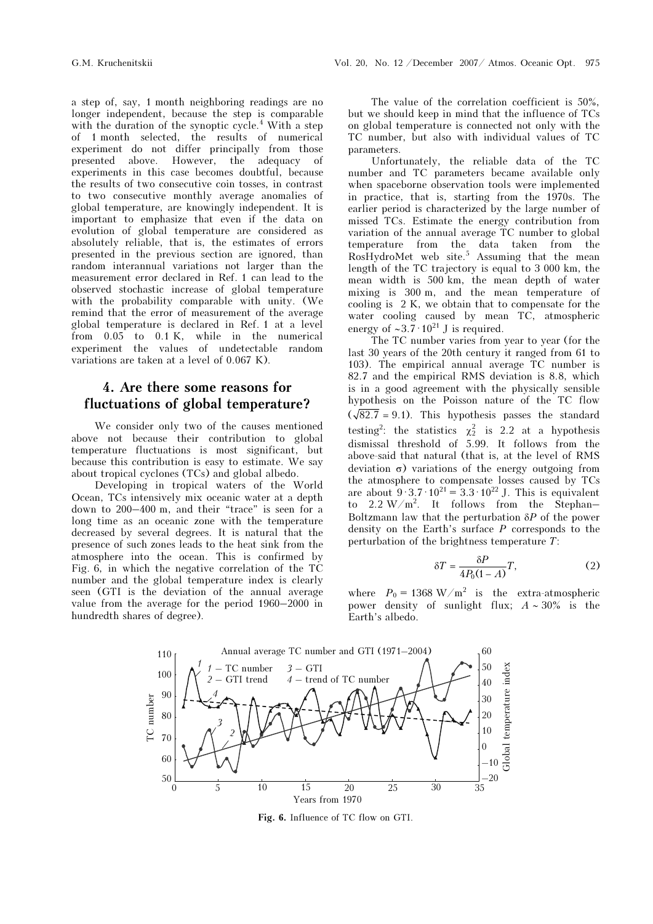a step of, say, 1 month neighboring readings are no longer independent, because the step is comparable with the duration of the synoptic cycle.<sup>4</sup> With a step of 1 month selected, the results of numerical experiment do not differ principally from those presented above. However, the adequacy of experiments in this case becomes doubtful, because the results of two consecutive coin tosses, in contrast to two consecutive monthly average anomalies of global temperature, are knowingly independent. It is important to emphasize that even if the data on evolution of global temperature are considered as absolutely reliable, that is, the estimates of errors presented in the previous section are ignored, than random interannual variations not larger than the measurement error declared in Ref. 1 can lead to the observed stochastic increase of global temperature with the probability comparable with unity. (We remind that the error of measurement of the average global temperature is declared in Ref. 1 at a level from 0.05 to 0.1 K, while in the numerical experiment the values of undetectable random variations are taken at a level of 0.067 K).

### 4. Are there some reasons for fluctuations of global temperature?

We consider only two of the causes mentioned above not because their contribution to global temperature fluctuations is most significant, but because this contribution is easy to estimate. We say about tropical cyclones (TCs) and global albedo.

Developing in tropical waters of the World Ocean, TCs intensively mix oceanic water at a depth down to 200–400 m, and their "trace" is seen for a long time as an oceanic zone with the temperature decreased by several degrees. It is natural that the presence of such zones leads to the heat sink from the atmosphere into the ocean. This is confirmed by Fig. 6, in which the negative correlation of the TC number and the global temperature index is clearly seen (GTI is the deviation of the annual average value from the average for the period 1960–2000 in hundredth shares of degree).

The value of the correlation coefficient is 50%, but we should keep in mind that the influence of TCs on global temperature is connected not only with the TC number, but also with individual values of TC parameters.

Unfortunately, the reliable data of the TC number and TC parameters became available only when spaceborne observation tools were implemented in practice, that is, starting from the 1970s. The earlier period is characterized by the large number of missed TCs. Estimate the energy contribution from variation of the annual average TC number to global temperature from the data taken from the RosHydroMet web site.<sup>5</sup> Assuming that the mean length of the TC trajectory is equal to 3 000 km, the mean width is 500 km, the mean depth of water mixing is 300 m, and the mean temperature of cooling is 2 K, we obtain that to compensate for the water cooling caused by mean TC, atmospheric energy of ~3.7 $\cdot$ 10<sup>21</sup> J is required.

The TC number varies from year to year (for the last 30 years of the 20th century it ranged from 61 to 103). The empirical annual average TC number is 82.7 and the empirical RMS deviation is 8.8, which is in a good agreement with the physically sensible hypothesis on the Poisson nature of the TC flow  $(\sqrt{82.7} = 9.1)$ . This hypothesis passes the standard testing<sup>2</sup>: the statistics  $\chi^2$  is 2.2 at a hypothesis dismissal threshold of 5.99. It follows from the above-said that natural (that is, at the level of RMS deviation σ) variations of the energy outgoing from the atmosphere to compensate losses caused by TCs are about  $9.3.7 \cdot 10^{21} = 3.3 \cdot 10^{22}$  J. This is equivalent to 2.2 W/m<sup>2</sup> . It follows from the Stephan– Boltzmann law that the perturbation  $\delta P$  of the power density on the Earth's surface  $P$  corresponds to the perturbation of the brightness temperature T:

$$
\delta T = \frac{\delta P}{4P_0(1-A)}T,\tag{2}
$$

where  $P_0 = 1368 \text{ W/m}^2$  is the extra-atmospheric power density of sunlight flux;  $A \sim 30\%$  is the Earth's albedo.



Fig. 6. Influence of TC flow on GTI.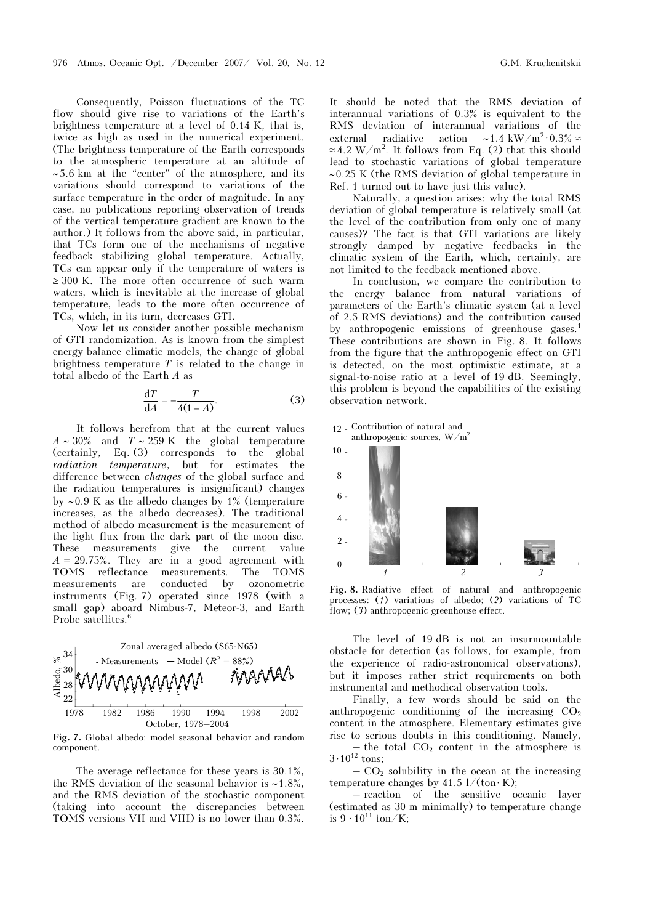Consequently, Poisson fluctuations of the TC flow should give rise to variations of the Earth's brightness temperature at a level of 0.14 K, that is, twice as high as used in the numerical experiment. (The brightness temperature of the Earth corresponds to the atmospheric temperature at an altitude of ∼ 5.6 km at the "center" of the atmosphere, and its variations should correspond to variations of the surface temperature in the order of magnitude. In any case, no publications reporting observation of trends of the vertical temperature gradient are known to the author.) It follows from the above-said, in particular, that TCs form one of the mechanisms of negative feedback stabilizing global temperature. Actually, TCs can appear only if the temperature of waters is ≥ 300 K. The more often occurrence of such warm waters, which is inevitable at the increase of global temperature, leads to the more often occurrence of TCs, which, in its turn, decreases GTI.

Now let us consider another possible mechanism of GTI randomization. As is known from the simplest energy-balance climatic models, the change of global brightness temperature  $T$  is related to the change in total albedo of the Earth A as

$$
\frac{\mathrm{d}T}{\mathrm{d}A} = -\frac{T}{4(1-A)}.\tag{3}
$$

It follows herefrom that at the current values  $A \sim 30\%$  and  $T \sim 259$  K the global temperature (certainly, Eq. (3) corresponds to the global radiation temperature, but for estimates the difference between changes of the global surface and the radiation temperatures is insignificant) changes by ∼0.9 K as the albedo changes by 1% (temperature increases, as the albedo decreases). The traditional method of albedo measurement is the measurement of the light flux from the dark part of the moon disc. These measurements give the current value  $A = 29.75\%$ . They are in a good agreement with TOMS reflectance measurements. The TOMS measurements are conducted by ozonometric instruments (Fig. 7) operated since 1978 (with a small gap) aboard Nimbus-7, Meteor-3, and Earth Probe satellites.<sup>6</sup>



Fig. 7. Global albedo: model seasonal behavior and random component.

The average reflectance for these years is 30.1%, the RMS deviation of the seasonal behavior is ∼1.8%, and the RMS deviation of the stochastic component (taking into account the discrepancies between TOMS versions VII and VIII) is no lower than 0.3%.

It should be noted that the RMS deviation of interannual variations of 0.3% is equivalent to the RMS deviation of interannual variations of the external radiative action ~1.4 kW/m<sup>2</sup> 0.3% ≈  $\approx 4.2 \text{ W/m}^2$ . It follows from Eq. (2) that this should lead to stochastic variations of global temperature ∼0.25 K (the RMS deviation of global temperature in Ref. 1 turned out to have just this value).

Naturally, a question arises: why the total RMS deviation of global temperature is relatively small (at the level of the contribution from only one of many causes)? The fact is that GTI variations are likely strongly damped by negative feedbacks in the climatic system of the Earth, which, certainly, are not limited to the feedback mentioned above.

In conclusion, we compare the contribution to the energy balance from natural variations of parameters of the Earth's climatic system (at a level of 2.5 RMS deviations) and the contribution caused by anthropogenic emissions of greenhouse gases.<sup>1</sup> These contributions are shown in Fig. 8. It follows from the figure that the anthropogenic effect on GTI is detected, on the most optimistic estimate, at a signal-to-noise ratio at a level of 19 dB. Seemingly, this problem is beyond the capabilities of the existing observation network.





Fig. 8. Radiative effect of natural and anthropogenic processes: (1) variations of albedo; (2) variations of TC flow; (3) anthropogenic greenhouse effect.

The level of 19 dB is not an insurmountable obstacle for detection (as follows, for example, from the experience of radio-astronomical observations), but it imposes rather strict requirements on both instrumental and methodical observation tools.

Finally, a few words should be said on the anthropogenic conditioning of the increasing  $CO<sub>2</sub>$ content in the atmosphere. Elementary estimates give rise to serious doubts in this conditioning. Namely,

– the total  $CO<sub>2</sub>$  content in the atmosphere is  $3 \cdot 10^{12}$  tons;

 $-CO<sub>2</sub>$  solubility in the ocean at the increasing temperature changes by  $41.5 \frac{1}{(\text{ton} \cdot \text{K})}$ ;

– reaction of the sensitive oceanic layer (estimated as 30 m minimally) to temperature change is  $9 \cdot 10^{11} \text{ ton/K}$ ;